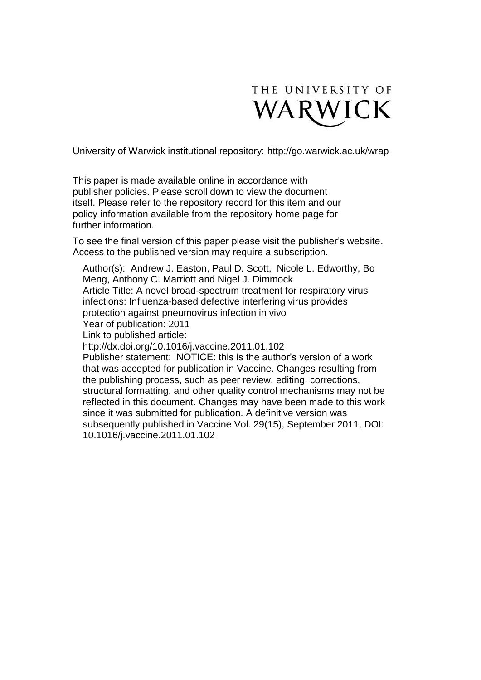

University of Warwick institutional repository:<http://go.warwick.ac.uk/wrap>

This paper is made available online in accordance with publisher policies. Please scroll down to view the document itself. Please refer to the repository record for this item and our policy information available from the repository home page for further information.

To see the final version of this paper please visit the publisher's website. Access to the published version may require a subscription.

Author(s): Andrew J. Easton, Paul D. Scott, Nicole L. Edworthy, Bo Meng, Anthony C. Marriott and Nigel J. Dimmock Article Title: A novel broad-spectrum treatment for respiratory virus infections: Influenza-based defective interfering virus provides protection against pneumovirus infection in vivo Year of publication: 2011 Link to published article: http://dx.doi.org/10.1016/j.vaccine.2011.01.102 Publisher statement: NOTICE: this is the author's version of a work that was accepted for publication in Vaccine. Changes resulting from the publishing process, such as peer review, editing, corrections, structural formatting, and other quality control mechanisms may not be reflected in this document. Changes may have been made to this work since it was submitted for publication. A definitive version was subsequently published in Vaccine Vol. 29(15), September 2011, DOI: 10.1016/j.vaccine.2011.01.102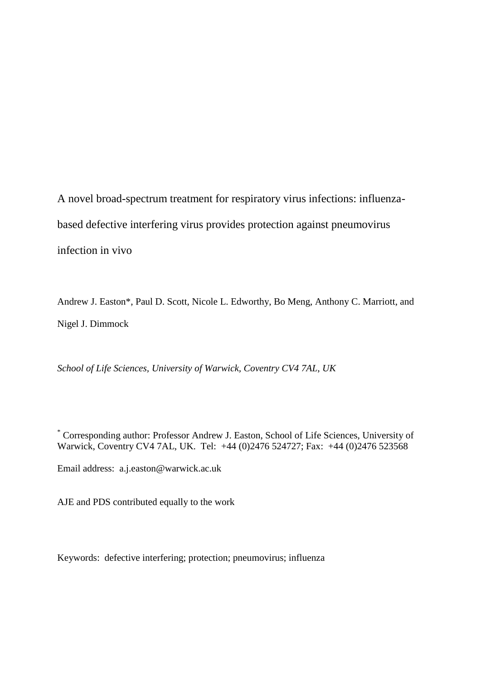A novel broad-spectrum treatment for respiratory virus infections: influenzabased defective interfering virus provides protection against pneumovirus infection in vivo

Andrew J. Easton\*, Paul D. Scott, Nicole L. Edworthy, Bo Meng, Anthony C. Marriott, and Nigel J. Dimmock

*School of Life Sciences, University of Warwick, Coventry CV4 7AL, UK*

\* Corresponding author: Professor Andrew J. Easton, School of Life Sciences, University of Warwick, Coventry CV4 7AL, UK. Tel: +44 (0)2476 524727; Fax: +44 (0)2476 523568

Email address: a.j.easton@warwick.ac.uk

AJE and PDS contributed equally to the work

Keywords: defective interfering; protection; pneumovirus; influenza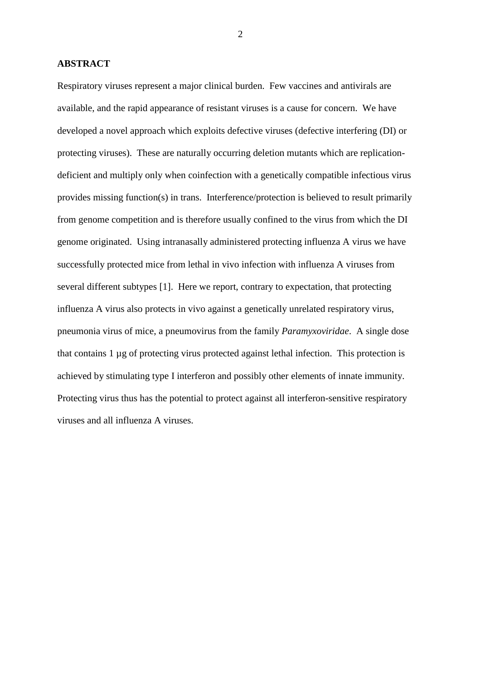### **ABSTRACT**

Respiratory viruses represent a major clinical burden. Few vaccines and antivirals are available, and the rapid appearance of resistant viruses is a cause for concern. We have developed a novel approach which exploits defective viruses (defective interfering (DI) or protecting viruses). These are naturally occurring deletion mutants which are replicationdeficient and multiply only when coinfection with a genetically compatible infectious virus provides missing function(s) in trans. Interference/protection is believed to result primarily from genome competition and is therefore usually confined to the virus from which the DI genome originated. Using intranasally administered protecting influenza A virus we have successfully protected mice from lethal in vivo infection with influenza A viruses from several different subtypes [\[1\]](#page-16-0). Here we report, contrary to expectation, that protecting influenza A virus also protects in vivo against a genetically unrelated respiratory virus, pneumonia virus of mice, a pneumovirus from the family *Paramyxoviridae*. A single dose that contains 1 µg of protecting virus protected against lethal infection. This protection is achieved by stimulating type I interferon and possibly other elements of innate immunity. Protecting virus thus has the potential to protect against all interferon-sensitive respiratory viruses and all influenza A viruses.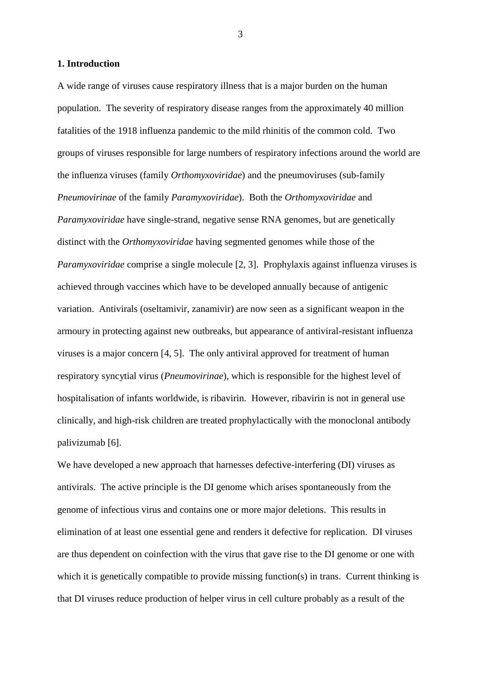### **1. Introduction**

A wide range of viruses cause respiratory illness that is a major burden on the human population. The severity of respiratory disease ranges from the approximately 40 million fatalities of the 1918 influenza pandemic to the mild rhinitis of the common cold. Two groups of viruses responsible for large numbers of respiratory infections around the world are the influenza viruses (family *Orthomyxoviridae*) and the pneumoviruses (sub-family *Pneumovirinae* of the family *Paramyxoviridae*). Both the *Orthomyxoviridae* and *Paramyxoviridae* have single-strand, negative sense RNA genomes, but are genetically distinct with the *Orthomyxoviridae* having segmented genomes while those of the *Paramyxoviridae* comprise a single molecule [\[2,](#page-16-1) [3\]](#page-16-2). Prophylaxis against influenza viruses is achieved through vaccines which have to be developed annually because of antigenic variation. Antivirals (oseltamivir, zanamivir) are now seen as a significant weapon in the armoury in protecting against new outbreaks, but appearance of antiviral-resistant influenza viruses is a major concern [\[4,](#page-16-3) [5\]](#page-16-4). The only antiviral approved for treatment of human respiratory syncytial virus (*Pneumovirinae*), which is responsible for the highest level of hospitalisation of infants worldwide, is ribavirin. However, ribavirin is not in general use clinically, and high-risk children are treated prophylactically with the monoclonal antibody palivizumab [\[6\]](#page-17-0).

We have developed a new approach that harnesses defective-interfering (DI) viruses as antivirals. The active principle is the DI genome which arises spontaneously from the genome of infectious virus and contains one or more major deletions. This results in elimination of at least one essential gene and renders it defective for replication. DI viruses are thus dependent on coinfection with the virus that gave rise to the DI genome or one with which it is genetically compatible to provide missing function(s) in trans. Current thinking is that DI viruses reduce production of helper virus in cell culture probably as a result of the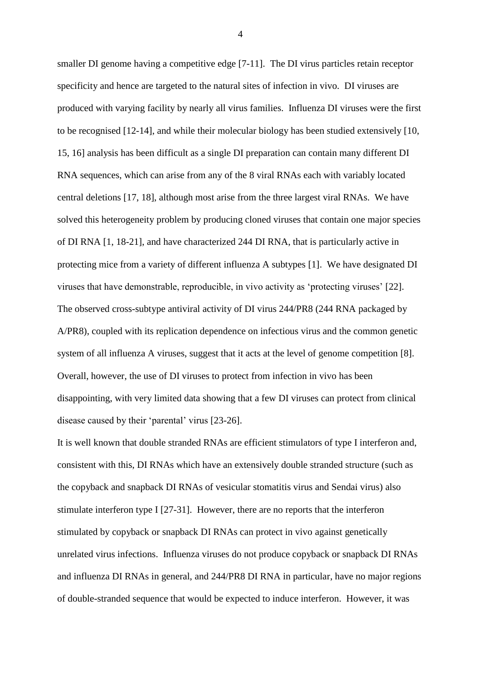smaller DI genome having a competitive edge [\[7-11\]](#page-17-1). The DI virus particles retain receptor specificity and hence are targeted to the natural sites of infection in vivo. DI viruses are produced with varying facility by nearly all virus families. Influenza DI viruses were the first to be recognised [\[12-14\]](#page-17-2), and while their molecular biology has been studied extensively [\[10,](#page-17-3) [15,](#page-17-4) [16\]](#page-17-5) analysis has been difficult as a single DI preparation can contain many different DI RNA sequences, which can arise from any of the 8 viral RNAs each with variably located central deletions [\[17,](#page-18-0) [18\]](#page-18-1), although most arise from the three largest viral RNAs. We have solved this heterogeneity problem by producing cloned viruses that contain one major species of DI RNA [\[1,](#page-16-0) [18-21\]](#page-18-1), and have characterized 244 DI RNA, that is particularly active in protecting mice from a variety of different influenza A subtypes [\[1\]](#page-16-0). We have designated DI viruses that have demonstrable, reproducible, in vivo activity as 'protecting viruses' [\[22\]](#page-18-2). The observed cross-subtype antiviral activity of DI virus 244/PR8 (244 RNA packaged by A/PR8), coupled with its replication dependence on infectious virus and the common genetic system of all influenza A viruses, suggest that it acts at the level of genome competition [\[8\]](#page-17-6). Overall, however, the use of DI viruses to protect from infection in vivo has been disappointing, with very limited data showing that a few DI viruses can protect from clinical disease caused by their 'parental' virus [\[23-26\]](#page-18-3).

It is well known that double stranded RNAs are efficient stimulators of type I interferon and, consistent with this, DI RNAs which have an extensively double stranded structure (such as the copyback and snapback DI RNAs of vesicular stomatitis virus and Sendai virus) also stimulate interferon type I [\[27-31\]](#page-19-0). However, there are no reports that the interferon stimulated by copyback or snapback DI RNAs can protect in vivo against genetically unrelated virus infections. Influenza viruses do not produce copyback or snapback DI RNAs and influenza DI RNAs in general, and 244/PR8 DI RNA in particular, have no major regions of double-stranded sequence that would be expected to induce interferon. However, it was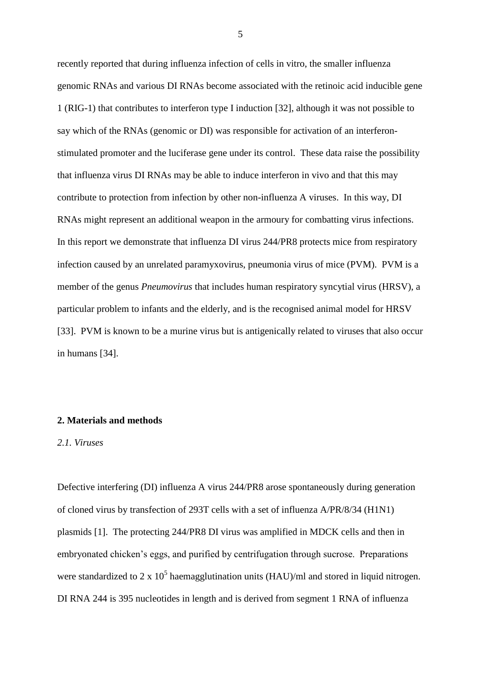recently reported that during influenza infection of cells in vitro, the smaller influenza genomic RNAs and various DI RNAs become associated with the retinoic acid inducible gene 1 (RIG-1) that contributes to interferon type I induction [\[32\]](#page-19-1), although it was not possible to say which of the RNAs (genomic or DI) was responsible for activation of an interferonstimulated promoter and the luciferase gene under its control. These data raise the possibility that influenza virus DI RNAs may be able to induce interferon in vivo and that this may contribute to protection from infection by other non-influenza A viruses. In this way, DI RNAs might represent an additional weapon in the armoury for combatting virus infections. In this report we demonstrate that influenza DI virus 244/PR8 protects mice from respiratory infection caused by an unrelated paramyxovirus, pneumonia virus of mice (PVM). PVM is a member of the genus *Pneumovirus* that includes human respiratory syncytial virus (HRSV), a particular problem to infants and the elderly, and is the recognised animal model for HRSV [\[33\]](#page-19-2). PVM is known to be a murine virus but is antigenically related to viruses that also occur in humans [\[34\]](#page-19-3).

# **2. Materials and methods**

### *2.1. Viruses*

Defective interfering (DI) influenza A virus 244/PR8 arose spontaneously during generation of cloned virus by transfection of 293T cells with a set of influenza A/PR/8/34 (H1N1) plasmids [\[1\]](#page-16-0). The protecting 244/PR8 DI virus was amplified in MDCK cells and then in embryonated chicken's eggs, and purified by centrifugation through sucrose. Preparations were standardized to 2 x  $10^5$  haemagglutination units (HAU)/ml and stored in liquid nitrogen. DI RNA 244 is 395 nucleotides in length and is derived from segment 1 RNA of influenza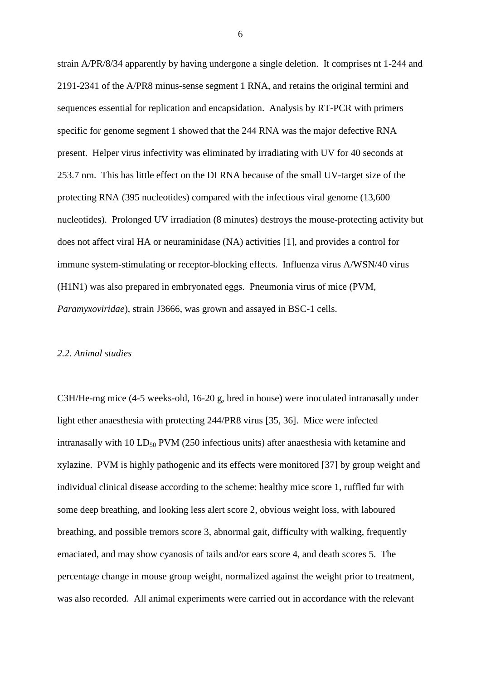strain A/PR/8/34 apparently by having undergone a single deletion. It comprises nt 1-244 and 2191-2341 of the A/PR8 minus-sense segment 1 RNA, and retains the original termini and sequences essential for replication and encapsidation. Analysis by RT-PCR with primers specific for genome segment 1 showed that the 244 RNA was the major defective RNA present. Helper virus infectivity was eliminated by irradiating with UV for 40 seconds at 253.7 nm. This has little effect on the DI RNA because of the small UV-target size of the protecting RNA (395 nucleotides) compared with the infectious viral genome (13,600 nucleotides). Prolonged UV irradiation (8 minutes) destroys the mouse-protecting activity but does not affect viral HA or neuraminidase (NA) activities [\[1\]](#page-16-0), and provides a control for immune system-stimulating or receptor-blocking effects. Influenza virus A/WSN/40 virus (H1N1) was also prepared in embryonated eggs. Pneumonia virus of mice (PVM, *Paramyxoviridae*), strain J3666, was grown and assayed in BSC-1 cells.

#### *2.2. Animal studies*

C3H/He-mg mice (4-5 weeks-old, 16-20 g, bred in house) were inoculated intranasally under light ether anaesthesia with protecting 244/PR8 virus [\[35,](#page-19-4) [36\]](#page-20-0). Mice were infected intranasally with 10  $LD_{50}$  PVM (250 infectious units) after anaesthesia with ketamine and xylazine. PVM is highly pathogenic and its effects were monitored [\[37\]](#page-20-1) by group weight and individual clinical disease according to the scheme: healthy mice score 1, ruffled fur with some deep breathing, and looking less alert score 2, obvious weight loss, with laboured breathing, and possible tremors score 3, abnormal gait, difficulty with walking, frequently emaciated, and may show cyanosis of tails and/or ears score 4, and death scores 5. The percentage change in mouse group weight, normalized against the weight prior to treatment, was also recorded. All animal experiments were carried out in accordance with the relevant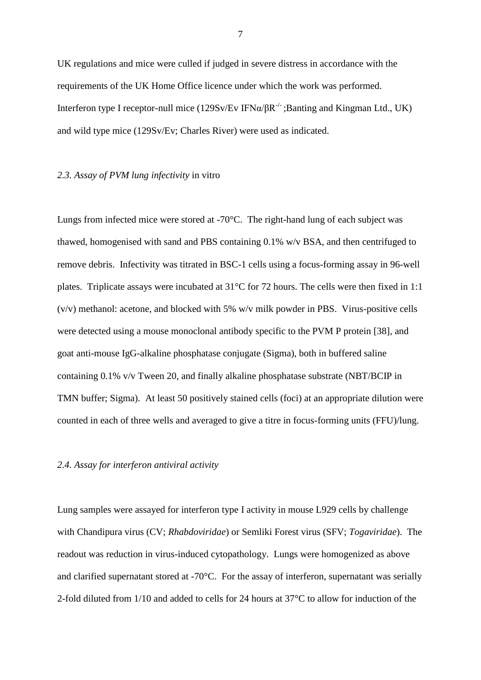UK regulations and mice were culled if judged in severe distress in accordance with the requirements of the UK Home Office licence under which the work was performed. Interferon type I receptor-null mice (129Sv/Ev IFN $\alpha/\beta R^{-1}$ ; Banting and Kingman Ltd., UK) and wild type mice (129Sv/Ev; Charles River) were used as indicated.

# *2.3. Assay of PVM lung infectivity* in vitro

Lungs from infected mice were stored at -70°C. The right-hand lung of each subject was thawed, homogenised with sand and PBS containing 0.1% w/v BSA, and then centrifuged to remove debris. Infectivity was titrated in BSC-1 cells using a focus-forming assay in 96-well plates. Triplicate assays were incubated at 31°C for 72 hours. The cells were then fixed in 1:1  $(v/v)$  methanol: acetone, and blocked with 5% w/v milk powder in PBS. Virus-positive cells were detected using a mouse monoclonal antibody specific to the PVM P protein [\[38\]](#page-20-2), and goat anti-mouse IgG-alkaline phosphatase conjugate (Sigma), both in buffered saline containing 0.1% v/v Tween 20, and finally alkaline phosphatase substrate (NBT/BCIP in TMN buffer; Sigma). At least 50 positively stained cells (foci) at an appropriate dilution were counted in each of three wells and averaged to give a titre in focus-forming units (FFU)/lung.

## *2.4. Assay for interferon antiviral activity*

Lung samples were assayed for interferon type I activity in mouse L929 cells by challenge with Chandipura virus (CV; *Rhabdoviridae*) or Semliki Forest virus (SFV; *Togaviridae*). The readout was reduction in virus-induced cytopathology. Lungs were homogenized as above and clarified supernatant stored at -70°C. For the assay of interferon, supernatant was serially 2-fold diluted from 1/10 and added to cells for 24 hours at 37°C to allow for induction of the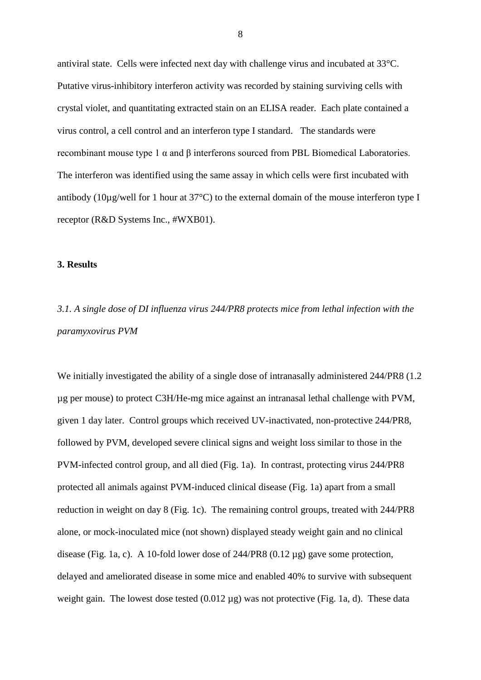antiviral state. Cells were infected next day with challenge virus and incubated at 33°C. Putative virus-inhibitory interferon activity was recorded by staining surviving cells with crystal violet, and quantitating extracted stain on an ELISA reader. Each plate contained a virus control, a cell control and an interferon type I standard. The standards were recombinant mouse type 1 α and β interferons sourced from PBL Biomedical Laboratories. The interferon was identified using the same assay in which cells were first incubated with antibody (10µg/well for 1 hour at 37°C) to the external domain of the mouse interferon type I receptor (R&D Systems Inc., #WXB01).

# **3. Results**

# *3.1. A single dose of DI influenza virus 244/PR8 protects mice from lethal infection with the paramyxovirus PVM*

We initially investigated the ability of a single dose of intranasally administered 244/PR8 (1.2 µg per mouse) to protect C3H/He-mg mice against an intranasal lethal challenge with PVM, given 1 day later. Control groups which received UV-inactivated, non-protective 244/PR8, followed by PVM, developed severe clinical signs and weight loss similar to those in the PVM-infected control group, and all died (Fig. 1a). In contrast, protecting virus 244/PR8 protected all animals against PVM-induced clinical disease (Fig. 1a) apart from a small reduction in weight on day 8 (Fig. 1c). The remaining control groups, treated with 244/PR8 alone, or mock-inoculated mice (not shown) displayed steady weight gain and no clinical disease (Fig. 1a, c). A 10-fold lower dose of 244/PR8 (0.12 µg) gave some protection, delayed and ameliorated disease in some mice and enabled 40% to survive with subsequent weight gain. The lowest dose tested (0.012 µg) was not protective (Fig. 1a, d). These data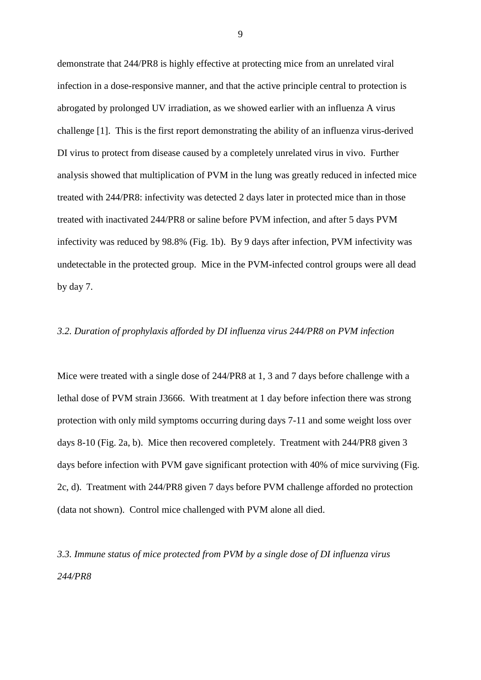demonstrate that 244/PR8 is highly effective at protecting mice from an unrelated viral infection in a dose-responsive manner, and that the active principle central to protection is abrogated by prolonged UV irradiation, as we showed earlier with an influenza A virus challenge [\[1\]](#page-16-0). This is the first report demonstrating the ability of an influenza virus-derived DI virus to protect from disease caused by a completely unrelated virus in vivo. Further analysis showed that multiplication of PVM in the lung was greatly reduced in infected mice treated with 244/PR8: infectivity was detected 2 days later in protected mice than in those treated with inactivated 244/PR8 or saline before PVM infection, and after 5 days PVM infectivity was reduced by 98.8% (Fig. 1b). By 9 days after infection, PVM infectivity was undetectable in the protected group. Mice in the PVM-infected control groups were all dead by day 7.

# *3.2. Duration of prophylaxis afforded by DI influenza virus 244/PR8 on PVM infection*

Mice were treated with a single dose of 244/PR8 at 1, 3 and 7 days before challenge with a lethal dose of PVM strain J3666. With treatment at 1 day before infection there was strong protection with only mild symptoms occurring during days 7-11 and some weight loss over days 8-10 (Fig. 2a, b). Mice then recovered completely. Treatment with 244/PR8 given 3 days before infection with PVM gave significant protection with 40% of mice surviving (Fig. 2c, d). Treatment with 244/PR8 given 7 days before PVM challenge afforded no protection (data not shown). Control mice challenged with PVM alone all died.

*3.3. Immune status of mice protected from PVM by a single dose of DI influenza virus 244/PR8*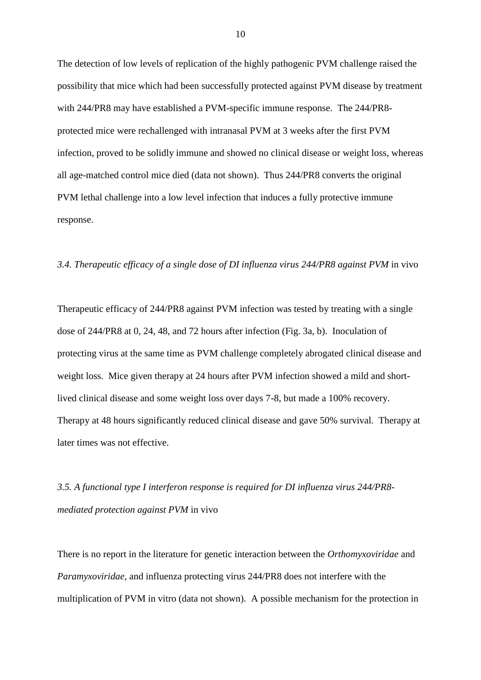The detection of low levels of replication of the highly pathogenic PVM challenge raised the possibility that mice which had been successfully protected against PVM disease by treatment with 244/PR8 may have established a PVM-specific immune response. The 244/PR8 protected mice were rechallenged with intranasal PVM at 3 weeks after the first PVM infection, proved to be solidly immune and showed no clinical disease or weight loss, whereas all age-matched control mice died (data not shown). Thus 244/PR8 converts the original PVM lethal challenge into a low level infection that induces a fully protective immune response.

## *3.4. Therapeutic efficacy of a single dose of DI influenza virus 244/PR8 against PVM* in vivo

Therapeutic efficacy of 244/PR8 against PVM infection was tested by treating with a single dose of 244/PR8 at 0, 24, 48, and 72 hours after infection (Fig. 3a, b). Inoculation of protecting virus at the same time as PVM challenge completely abrogated clinical disease and weight loss. Mice given therapy at 24 hours after PVM infection showed a mild and shortlived clinical disease and some weight loss over days 7-8, but made a 100% recovery. Therapy at 48 hours significantly reduced clinical disease and gave 50% survival. Therapy at later times was not effective.

# *3.5. A functional type I interferon response is required for DI influenza virus 244/PR8 mediated protection against PVM* in vivo

There is no report in the literature for genetic interaction between the *Orthomyxoviridae* and *Paramyxoviridae*, and influenza protecting virus 244/PR8 does not interfere with the multiplication of PVM in vitro (data not shown). A possible mechanism for the protection in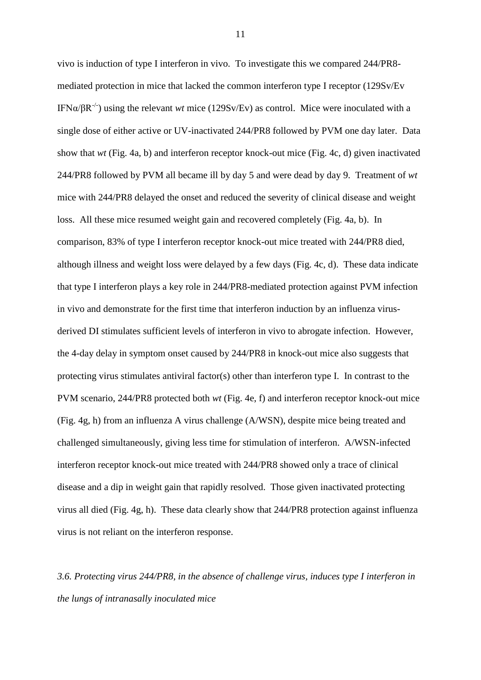vivo is induction of type I interferon in vivo. To investigate this we compared 244/PR8 mediated protection in mice that lacked the common interferon type I receptor (129Sv/Ev IFN $\alpha/\beta R^{-1}$ ) using the relevant *wt* mice (129Sv/Ev) as control. Mice were inoculated with a single dose of either active or UV-inactivated 244/PR8 followed by PVM one day later. Data show that *wt* (Fig. 4a, b) and interferon receptor knock-out mice (Fig. 4c, d) given inactivated 244/PR8 followed by PVM all became ill by day 5 and were dead by day 9. Treatment of *wt* mice with 244/PR8 delayed the onset and reduced the severity of clinical disease and weight loss. All these mice resumed weight gain and recovered completely (Fig. 4a, b). In comparison, 83% of type I interferon receptor knock-out mice treated with 244/PR8 died, although illness and weight loss were delayed by a few days (Fig. 4c, d). These data indicate that type I interferon plays a key role in 244/PR8-mediated protection against PVM infection in vivo and demonstrate for the first time that interferon induction by an influenza virusderived DI stimulates sufficient levels of interferon in vivo to abrogate infection. However, the 4-day delay in symptom onset caused by 244/PR8 in knock-out mice also suggests that protecting virus stimulates antiviral factor(s) other than interferon type I. In contrast to the PVM scenario, 244/PR8 protected both *wt* (Fig. 4e, f) and interferon receptor knock-out mice (Fig. 4g, h) from an influenza A virus challenge (A/WSN), despite mice being treated and challenged simultaneously, giving less time for stimulation of interferon. A/WSN-infected interferon receptor knock-out mice treated with 244/PR8 showed only a trace of clinical disease and a dip in weight gain that rapidly resolved. Those given inactivated protecting virus all died (Fig. 4g, h). These data clearly show that 244/PR8 protection against influenza virus is not reliant on the interferon response.

*3.6. Protecting virus 244/PR8, in the absence of challenge virus, induces type I interferon in the lungs of intranasally inoculated mice*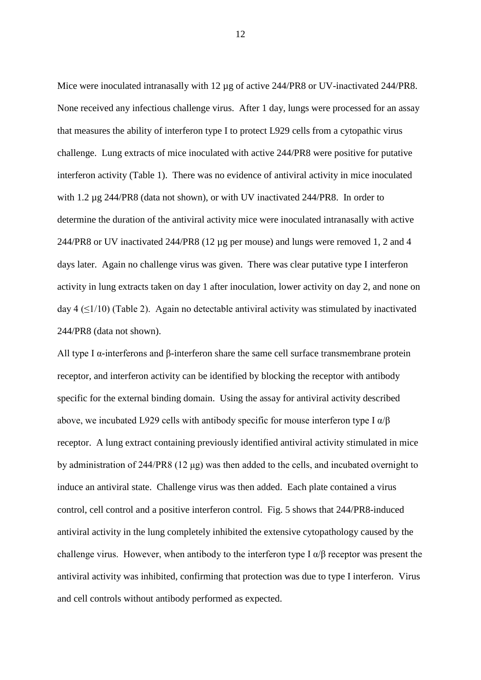Mice were inoculated intranasally with 12 µg of active 244/PR8 or UV-inactivated 244/PR8. None received any infectious challenge virus. After 1 day, lungs were processed for an assay that measures the ability of interferon type I to protect L929 cells from a cytopathic virus challenge. Lung extracts of mice inoculated with active 244/PR8 were positive for putative interferon activity (Table 1). There was no evidence of antiviral activity in mice inoculated with 1.2 µg 244/PR8 (data not shown), or with UV inactivated 244/PR8. In order to determine the duration of the antiviral activity mice were inoculated intranasally with active 244/PR8 or UV inactivated 244/PR8 (12 µg per mouse) and lungs were removed 1, 2 and 4 days later. Again no challenge virus was given. There was clear putative type I interferon activity in lung extracts taken on day 1 after inoculation, lower activity on day 2, and none on day 4 ( $\leq$ 1/10) (Table 2). Again no detectable antiviral activity was stimulated by inactivated 244/PR8 (data not shown).

All type I α-interferons and β-interferon share the same cell surface transmembrane protein receptor, and interferon activity can be identified by blocking the receptor with antibody specific for the external binding domain. Using the assay for antiviral activity described above, we incubated L929 cells with antibody specific for mouse interferon type I  $\alpha/\beta$ receptor. A lung extract containing previously identified antiviral activity stimulated in mice by administration of 244/PR8 (12 μg) was then added to the cells, and incubated overnight to induce an antiviral state. Challenge virus was then added. Each plate contained a virus control, cell control and a positive interferon control. Fig. 5 shows that 244/PR8-induced antiviral activity in the lung completely inhibited the extensive cytopathology caused by the challenge virus. However, when antibody to the interferon type I  $\alpha/\beta$  receptor was present the antiviral activity was inhibited, confirming that protection was due to type I interferon. Virus and cell controls without antibody performed as expected.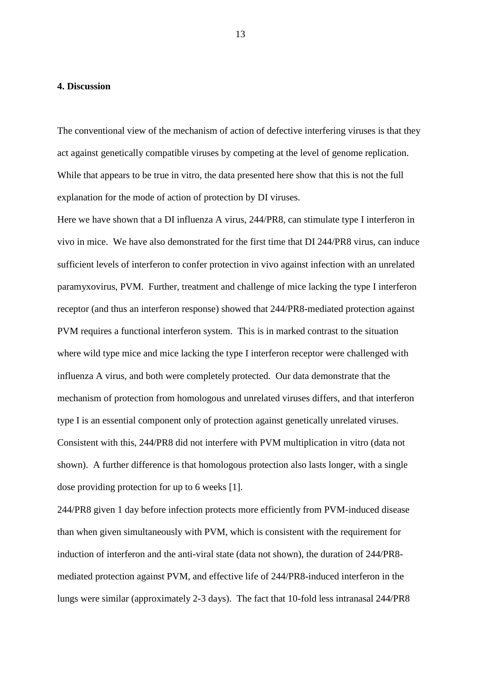## **4. Discussion**

The conventional view of the mechanism of action of defective interfering viruses is that they act against genetically compatible viruses by competing at the level of genome replication. While that appears to be true in vitro, the data presented here show that this is not the full explanation for the mode of action of protection by DI viruses.

Here we have shown that a DI influenza A virus, 244/PR8, can stimulate type I interferon in vivo in mice. We have also demonstrated for the first time that DI 244/PR8 virus, can induce sufficient levels of interferon to confer protection in vivo against infection with an unrelated paramyxovirus, PVM. Further, treatment and challenge of mice lacking the type I interferon receptor (and thus an interferon response) showed that 244/PR8-mediated protection against PVM requires a functional interferon system. This is in marked contrast to the situation where wild type mice and mice lacking the type I interferon receptor were challenged with influenza A virus, and both were completely protected. Our data demonstrate that the mechanism of protection from homologous and unrelated viruses differs, and that interferon type I is an essential component only of protection against genetically unrelated viruses. Consistent with this, 244/PR8 did not interfere with PVM multiplication in vitro (data not shown). A further difference is that homologous protection also lasts longer, with a single dose providing protection for up to 6 weeks [\[1\]](#page-16-0).

244/PR8 given 1 day before infection protects more efficiently from PVM-induced disease than when given simultaneously with PVM, which is consistent with the requirement for induction of interferon and the anti-viral state (data not shown), the duration of 244/PR8 mediated protection against PVM, and effective life of 244/PR8-induced interferon in the lungs were similar (approximately 2-3 days). The fact that 10-fold less intranasal 244/PR8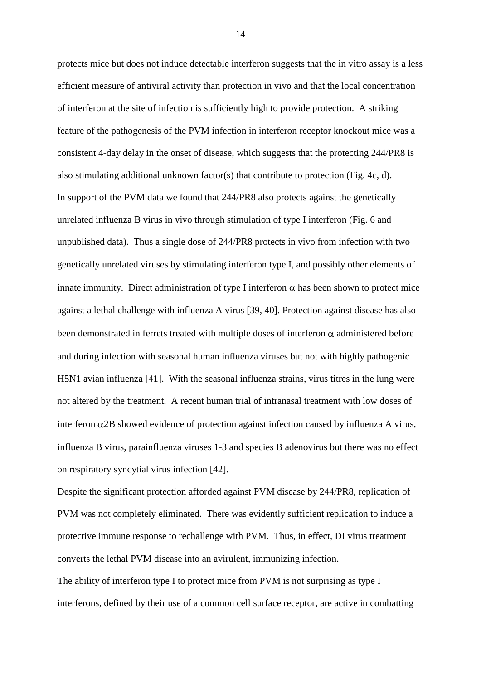protects mice but does not induce detectable interferon suggests that the in vitro assay is a less efficient measure of antiviral activity than protection in vivo and that the local concentration of interferon at the site of infection is sufficiently high to provide protection. A striking feature of the pathogenesis of the PVM infection in interferon receptor knockout mice was a consistent 4-day delay in the onset of disease, which suggests that the protecting 244/PR8 is also stimulating additional unknown factor(s) that contribute to protection (Fig. 4c, d). In support of the PVM data we found that 244/PR8 also protects against the genetically unrelated influenza B virus in vivo through stimulation of type I interferon (Fig. 6 and unpublished data). Thus a single dose of 244/PR8 protects in vivo from infection with two genetically unrelated viruses by stimulating interferon type I, and possibly other elements of innate immunity. Direct administration of type I interferon  $\alpha$  has been shown to protect mice against a lethal challenge with influenza A virus [\[39,](#page-20-3) [40\]](#page-20-4). Protection against disease has also been demonstrated in ferrets treated with multiple doses of interferon  $\alpha$  administered before and during infection with seasonal human influenza viruses but not with highly pathogenic H5N1 avian influenza [\[41\]](#page-20-5). With the seasonal influenza strains, virus titres in the lung were not altered by the treatment. A recent human trial of intranasal treatment with low doses of interferon  $\alpha$ 2B showed evidence of protection against infection caused by influenza A virus, influenza B virus, parainfluenza viruses 1-3 and species B adenovirus but there was no effect on respiratory syncytial virus infection [\[42\]](#page-20-6).

Despite the significant protection afforded against PVM disease by 244/PR8, replication of PVM was not completely eliminated. There was evidently sufficient replication to induce a protective immune response to rechallenge with PVM. Thus, in effect, DI virus treatment converts the lethal PVM disease into an avirulent, immunizing infection.

The ability of interferon type I to protect mice from PVM is not surprising as type I interferons, defined by their use of a common cell surface receptor, are active in combatting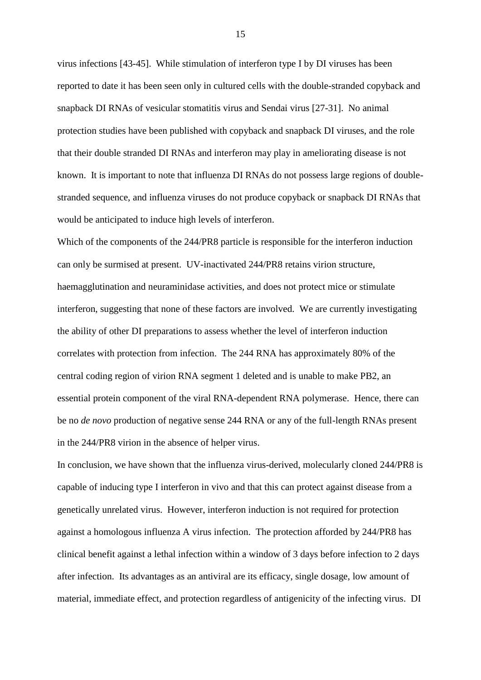virus infections [\[43-45\]](#page-20-7). While stimulation of interferon type I by DI viruses has been reported to date it has been seen only in cultured cells with the double-stranded copyback and snapback DI RNAs of vesicular stomatitis virus and Sendai virus [\[27-31\]](#page-19-0). No animal protection studies have been published with copyback and snapback DI viruses, and the role that their double stranded DI RNAs and interferon may play in ameliorating disease is not known. It is important to note that influenza DI RNAs do not possess large regions of doublestranded sequence, and influenza viruses do not produce copyback or snapback DI RNAs that would be anticipated to induce high levels of interferon.

Which of the components of the 244/PR8 particle is responsible for the interferon induction can only be surmised at present. UV-inactivated 244/PR8 retains virion structure, haemagglutination and neuraminidase activities, and does not protect mice or stimulate interferon, suggesting that none of these factors are involved. We are currently investigating the ability of other DI preparations to assess whether the level of interferon induction correlates with protection from infection. The 244 RNA has approximately 80% of the central coding region of virion RNA segment 1 deleted and is unable to make PB2, an essential protein component of the viral RNA-dependent RNA polymerase. Hence, there can be no *de novo* production of negative sense 244 RNA or any of the full-length RNAs present in the 244/PR8 virion in the absence of helper virus.

In conclusion, we have shown that the influenza virus-derived, molecularly cloned 244/PR8 is capable of inducing type I interferon in vivo and that this can protect against disease from a genetically unrelated virus. However, interferon induction is not required for protection against a homologous influenza A virus infection. The protection afforded by 244/PR8 has clinical benefit against a lethal infection within a window of 3 days before infection to 2 days after infection. Its advantages as an antiviral are its efficacy, single dosage, low amount of material, immediate effect, and protection regardless of antigenicity of the infecting virus. DI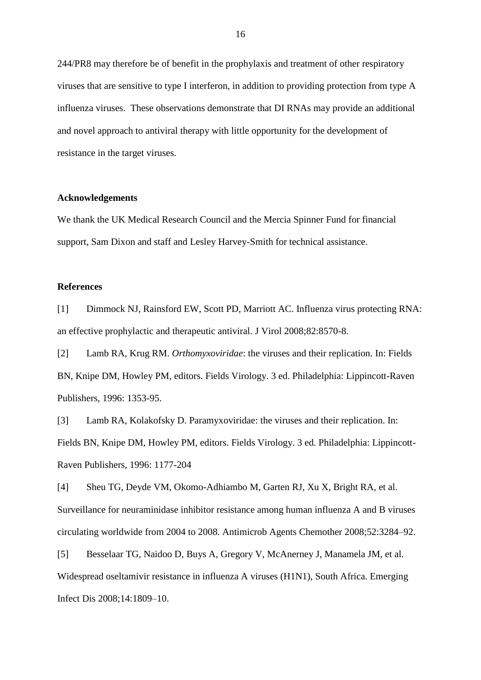244/PR8 may therefore be of benefit in the prophylaxis and treatment of other respiratory viruses that are sensitive to type I interferon, in addition to providing protection from type A influenza viruses. These observations demonstrate that DI RNAs may provide an additional and novel approach to antiviral therapy with little opportunity for the development of resistance in the target viruses.

## **Acknowledgements**

We thank the UK Medical Research Council and the Mercia Spinner Fund for financial support, Sam Dixon and staff and Lesley Harvey-Smith for technical assistance.

## **References**

<span id="page-16-0"></span>[1] Dimmock NJ, Rainsford EW, Scott PD, Marriott AC. Influenza virus protecting RNA: an effective prophylactic and therapeutic antiviral. J Virol 2008;82:8570-8.

<span id="page-16-1"></span>[2] Lamb RA, Krug RM. *Orthomyxoviridae*: the viruses and their replication. In: Fields BN, Knipe DM, Howley PM, editors. Fields Virology. 3 ed. Philadelphia: Lippincott-Raven Publishers, 1996: 1353-95.

<span id="page-16-2"></span>[3] Lamb RA, Kolakofsky D. Paramyxoviridae: the viruses and their replication. In: Fields BN, Knipe DM, Howley PM, editors. Fields Virology. 3 ed. Philadelphia: Lippincott-Raven Publishers, 1996: 1177-204

<span id="page-16-3"></span>[4] Sheu TG, Deyde VM, Okomo-Adhiambo M, Garten RJ, Xu X, Bright RA, et al. Surveillance for neuraminidase inhibitor resistance among human influenza A and B viruses circulating worldwide from 2004 to 2008. Antimicrob Agents Chemother 2008;52:3284–92.

<span id="page-16-4"></span>[5] Besselaar TG, Naidoo D, Buys A, Gregory V, McAnerney J, Manamela JM, et al. Widespread oseltamivir resistance in influenza A viruses (H1N1), South Africa. Emerging Infect Dis 2008;14:1809–10.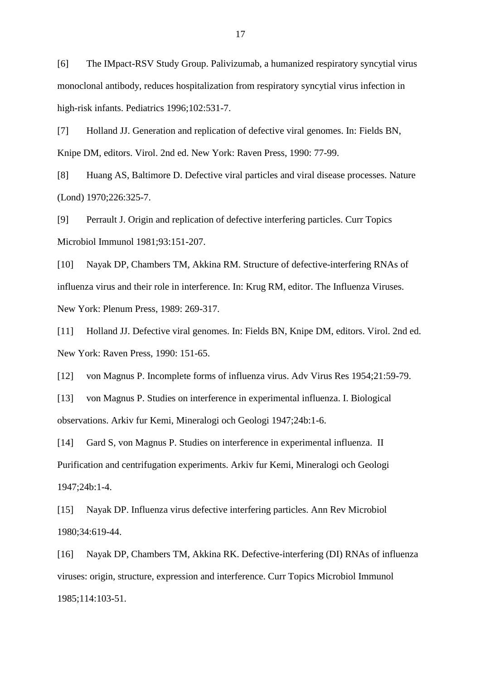<span id="page-17-0"></span>[6] The IMpact-RSV Study Group. Palivizumab, a humanized respiratory syncytial virus monoclonal antibody, reduces hospitalization from respiratory syncytial virus infection in high-risk infants. Pediatrics 1996;102:531-7.

<span id="page-17-1"></span>[7] Holland JJ. Generation and replication of defective viral genomes. In: Fields BN, Knipe DM, editors. Virol. 2nd ed. New York: Raven Press, 1990: 77-99.

<span id="page-17-6"></span>[8] Huang AS, Baltimore D. Defective viral particles and viral disease processes. Nature (Lond) 1970;226:325-7.

[9] Perrault J. Origin and replication of defective interfering particles. Curr Topics Microbiol Immunol 1981;93:151-207.

<span id="page-17-3"></span>[10] Nayak DP, Chambers TM, Akkina RM. Structure of defective-interfering RNAs of influenza virus and their role in interference. In: Krug RM, editor. The Influenza Viruses. New York: Plenum Press, 1989: 269-317.

[11] Holland JJ. Defective viral genomes. In: Fields BN, Knipe DM, editors. Virol. 2nd ed. New York: Raven Press, 1990: 151-65.

<span id="page-17-2"></span>[12] von Magnus P. Incomplete forms of influenza virus. Adv Virus Res 1954;21:59-79.

[13] von Magnus P. Studies on interference in experimental influenza. I. Biological observations. Arkiv fur Kemi, Mineralogi och Geologi 1947;24b:1-6.

[14] Gard S, von Magnus P. Studies on interference in experimental influenza. II Purification and centrifugation experiments. Arkiv fur Kemi, Mineralogi och Geologi 1947;24b:1-4.

<span id="page-17-4"></span>[15] Nayak DP. Influenza virus defective interfering particles. Ann Rev Microbiol 1980;34:619-44.

<span id="page-17-5"></span>[16] Nayak DP, Chambers TM, Akkina RK. Defective-interfering (DI) RNAs of influenza viruses: origin, structure, expression and interference. Curr Topics Microbiol Immunol 1985;114:103-51.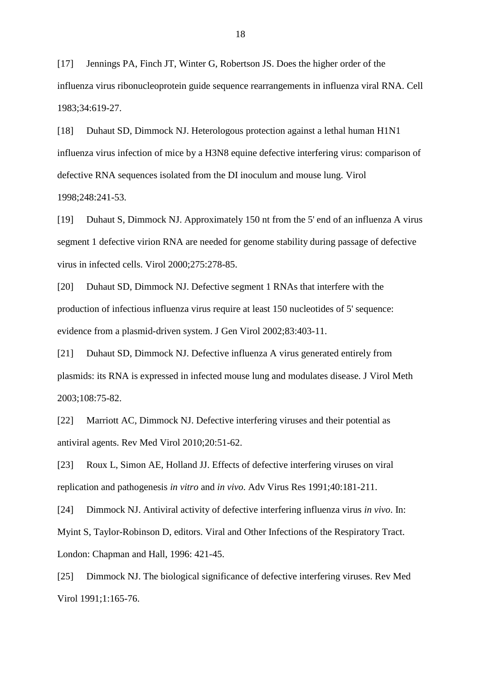<span id="page-18-0"></span>[17] Jennings PA, Finch JT, Winter G, Robertson JS. Does the higher order of the influenza virus ribonucleoprotein guide sequence rearrangements in influenza viral RNA. Cell 1983;34:619-27.

<span id="page-18-1"></span>[18] Duhaut SD, Dimmock NJ. Heterologous protection against a lethal human H1N1 influenza virus infection of mice by a H3N8 equine defective interfering virus: comparison of defective RNA sequences isolated from the DI inoculum and mouse lung. Virol 1998;248:241-53.

[19] Duhaut S, Dimmock NJ. Approximately 150 nt from the 5' end of an influenza A virus segment 1 defective virion RNA are needed for genome stability during passage of defective virus in infected cells. Virol 2000;275:278-85.

[20] Duhaut SD, Dimmock NJ. Defective segment 1 RNAs that interfere with the production of infectious influenza virus require at least 150 nucleotides of 5' sequence: evidence from a plasmid-driven system. J Gen Virol 2002;83:403-11.

[21] Duhaut SD, Dimmock NJ. Defective influenza A virus generated entirely from plasmids: its RNA is expressed in infected mouse lung and modulates disease. J Virol Meth 2003;108:75-82.

<span id="page-18-2"></span>[22] Marriott AC, Dimmock NJ. Defective interfering viruses and their potential as antiviral agents. Rev Med Virol 2010;20:51-62.

<span id="page-18-3"></span>[23] Roux L, Simon AE, Holland JJ. Effects of defective interfering viruses on viral replication and pathogenesis *in vitro* and *in vivo*. Adv Virus Res 1991;40:181-211.

[24] Dimmock NJ. Antiviral activity of defective interfering influenza virus *in vivo*. In: Myint S, Taylor-Robinson D, editors. Viral and Other Infections of the Respiratory Tract. London: Chapman and Hall, 1996: 421-45.

[25] Dimmock NJ. The biological significance of defective interfering viruses. Rev Med Virol 1991;1:165-76.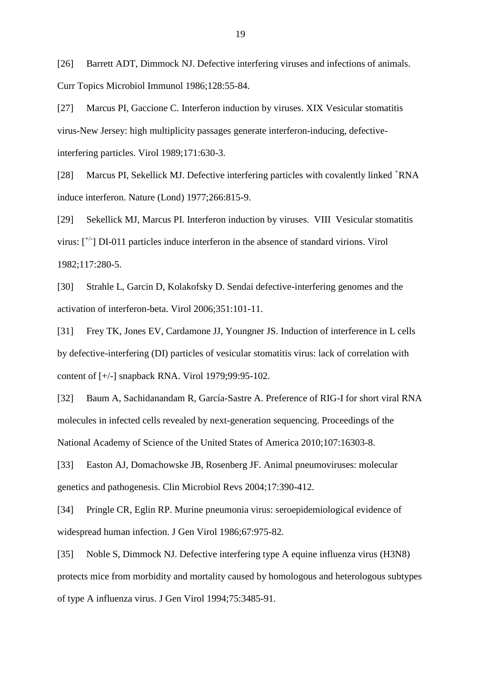[26] Barrett ADT, Dimmock NJ. Defective interfering viruses and infections of animals. Curr Topics Microbiol Immunol 1986;128:55-84.

<span id="page-19-0"></span>[27] Marcus PI, Gaccione C. Interferon induction by viruses. XIX Vesicular stomatitis virus-New Jersey: high multiplicity passages generate interferon-inducing, defectiveinterfering particles. Virol 1989;171:630-3.

[28] Marcus PI, Sekellick MJ. Defective interfering particles with covalently linked <sup>+</sup>RNA induce interferon. Nature (Lond) 1977;266:815-9.

[29] Sekellick MJ, Marcus PI. Interferon induction by viruses. VIII Vesicular stomatitis virus:  $\lbrack$ <sup>+/-</sup>] DI-011 particles induce interferon in the absence of standard virions. Virol 1982;117:280-5.

[30] Strahle L, Garcin D, Kolakofsky D. Sendai defective-interfering genomes and the activation of interferon-beta. Virol 2006;351:101-11.

[31] Frey TK, Jones EV, Cardamone JJ, Youngner JS. Induction of interference in L cells by defective-interfering (DI) particles of vesicular stomatitis virus: lack of correlation with content of [+/-] snapback RNA. Virol 1979;99:95-102.

<span id="page-19-1"></span>[32] Baum A, Sachidanandam R, García-Sastre A. Preference of RIG-I for short viral RNA molecules in infected cells revealed by next-generation sequencing. Proceedings of the National Academy of Science of the United States of America 2010;107:16303-8.

<span id="page-19-2"></span>[33] Easton AJ, Domachowske JB, Rosenberg JF. Animal pneumoviruses: molecular genetics and pathogenesis. Clin Microbiol Revs 2004;17:390-412.

<span id="page-19-3"></span>[34] Pringle CR, Eglin RP. Murine pneumonia virus: seroepidemiological evidence of widespread human infection. J Gen Virol 1986;67:975-82.

<span id="page-19-4"></span>[35] Noble S, Dimmock NJ. Defective interfering type A equine influenza virus (H3N8) protects mice from morbidity and mortality caused by homologous and heterologous subtypes of type A influenza virus. J Gen Virol 1994;75:3485-91.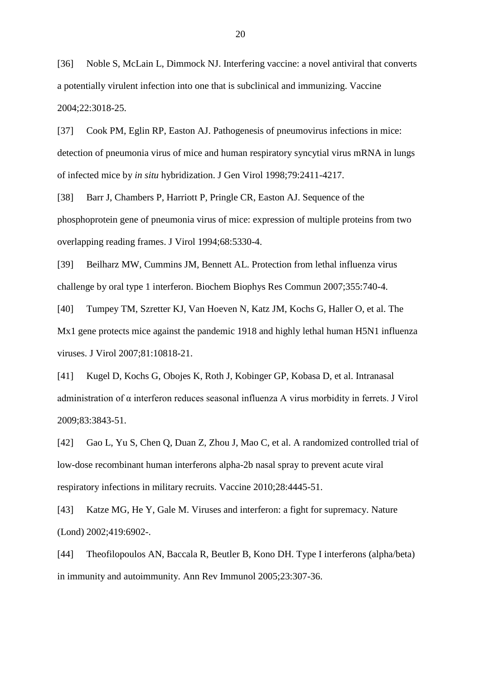<span id="page-20-0"></span>[36] Noble S, McLain L, Dimmock NJ. Interfering vaccine: a novel antiviral that converts a potentially virulent infection into one that is subclinical and immunizing. Vaccine 2004;22:3018-25.

<span id="page-20-1"></span>[37] Cook PM, Eglin RP, Easton AJ. Pathogenesis of pneumovirus infections in mice: detection of pneumonia virus of mice and human respiratory syncytial virus mRNA in lungs of infected mice by *in situ* hybridization. J Gen Virol 1998;79:2411-4217.

<span id="page-20-2"></span>[38] Barr J, Chambers P, Harriott P, Pringle CR, Easton AJ. Sequence of the phosphoprotein gene of pneumonia virus of mice: expression of multiple proteins from two overlapping reading frames. J Virol 1994;68:5330-4.

<span id="page-20-3"></span>[39] Beilharz MW, Cummins JM, Bennett AL. Protection from lethal influenza virus challenge by oral type 1 interferon. Biochem Biophys Res Commun 2007;355:740-4.

<span id="page-20-4"></span>[40] Tumpey TM, Szretter KJ, Van Hoeven N, Katz JM, Kochs G, Haller O, et al. The Mx1 gene protects mice against the pandemic 1918 and highly lethal human H5N1 influenza viruses. J Virol 2007;81:10818-21.

<span id="page-20-5"></span>[41] Kugel D, Kochs G, Obojes K, Roth J, Kobinger GP, Kobasa D, et al. Intranasal administration of α interferon reduces seasonal influenza A virus morbidity in ferrets. J Virol 2009;83:3843-51.

<span id="page-20-6"></span>[42] Gao L, Yu S, Chen Q, Duan Z, Zhou J, Mao C, et al. A randomized controlled trial of low-dose recombinant human interferons alpha-2b nasal spray to prevent acute viral respiratory infections in military recruits. Vaccine 2010;28:4445-51.

<span id="page-20-7"></span>[43] Katze MG, He Y, Gale M. Viruses and interferon: a fight for supremacy. Nature (Lond) 2002;419:6902-.

[44] Theofilopoulos AN, Baccala R, Beutler B, Kono DH. Type I interferons (alpha/beta) in immunity and autoimmunity. Ann Rev Immunol 2005;23:307-36.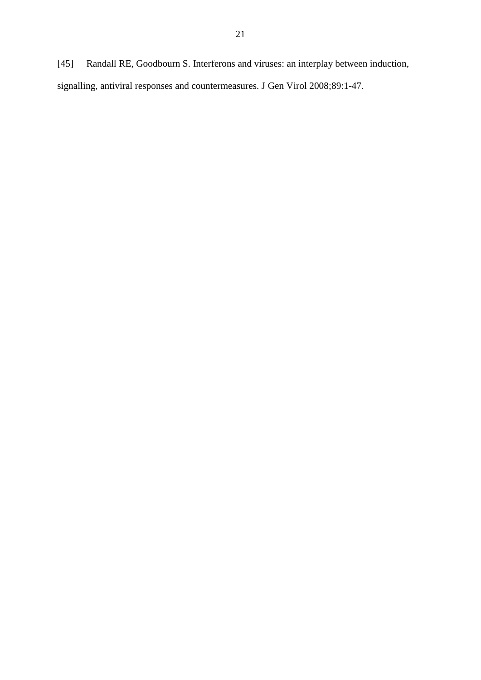[45] Randall RE, Goodbourn S. Interferons and viruses: an interplay between induction, signalling, antiviral responses and countermeasures. J Gen Virol 2008;89:1-47.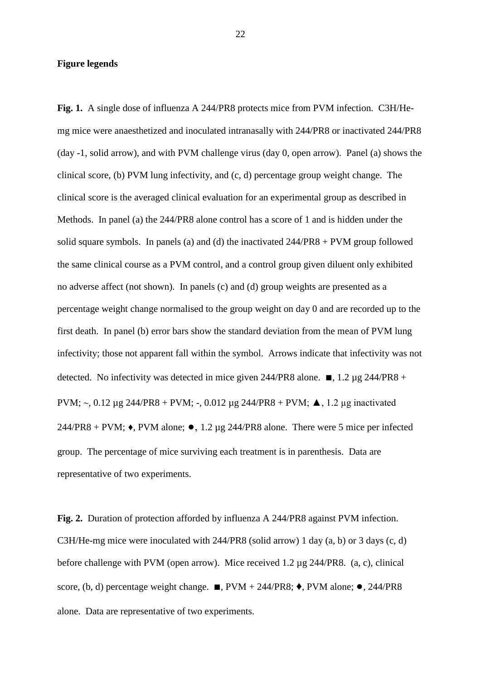## **Figure legends**

**Fig. 1.** A single dose of influenza A 244/PR8 protects mice from PVM infection. C3H/Hemg mice were anaesthetized and inoculated intranasally with 244/PR8 or inactivated 244/PR8 (day -1, solid arrow), and with PVM challenge virus (day 0, open arrow). Panel (a) shows the clinical score, (b) PVM lung infectivity, and (c, d) percentage group weight change. The clinical score is the averaged clinical evaluation for an experimental group as described in Methods. In panel (a) the 244/PR8 alone control has a score of 1 and is hidden under the solid square symbols. In panels (a) and (d) the inactivated 244/PR8 + PVM group followed the same clinical course as a PVM control, and a control group given diluent only exhibited no adverse affect (not shown). In panels (c) and (d) group weights are presented as a percentage weight change normalised to the group weight on day 0 and are recorded up to the first death. In panel (b) error bars show the standard deviation from the mean of PVM lung infectivity; those not apparent fall within the symbol. Arrows indicate that infectivity was not detected. No infectivity was detected in mice given 244/PR8 alone.  $\blacksquare$ , 1.2 µg 244/PR8 + PVM;  $\sim$ , 0.12 μg 244/PR8 + PVM; -, 0.012 μg 244/PR8 + PVM; Δ, 1.2 μg inactivated 244/PR8 + PVM;  $\bullet$ , PVM alone;  $\bullet$ , 1.2 µg 244/PR8 alone. There were 5 mice per infected group. The percentage of mice surviving each treatment is in parenthesis. Data are representative of two experiments.

**Fig. 2.** Duration of protection afforded by influenza A 244/PR8 against PVM infection. C3H/He-mg mice were inoculated with 244/PR8 (solid arrow) 1 day (a, b) or 3 days (c, d) before challenge with PVM (open arrow). Mice received 1.2 µg 244/PR8. (a, c), clinical score, (b, d) percentage weight change.  $\blacksquare$ , PVM + 244/PR8;  $\blacklozenge$ , PVM alone;  $\lozenge$ , 244/PR8 alone. Data are representative of two experiments.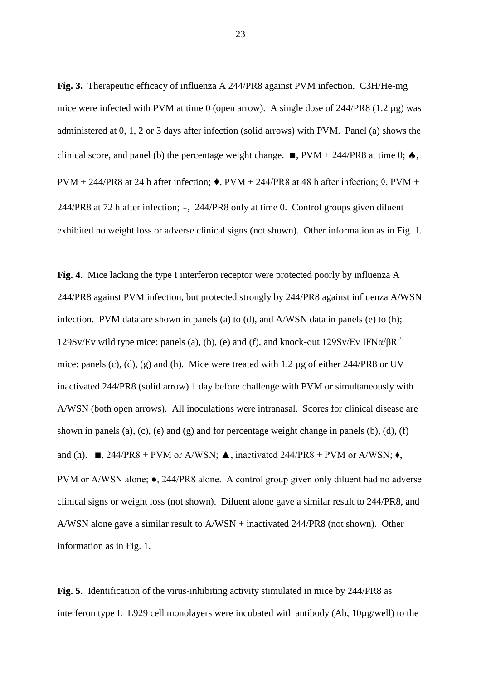**Fig. 3.** Therapeutic efficacy of influenza A 244/PR8 against PVM infection. C3H/He-mg mice were infected with PVM at time 0 (open arrow). A single dose of  $244/PR8$  (1.2 µg) was administered at 0, 1, 2 or 3 days after infection (solid arrows) with PVM. Panel (a) shows the clinical score, and panel (b) the percentage weight change.  $\blacksquare$ , PVM + 244/PR8 at time 0;  $\spadesuit$ , PVM + 244/PR8 at 24 h after infection;  $\bullet$ , PVM + 244/PR8 at 48 h after infection;  $\Diamond$ , PVM + 244/PR8 at 72 h after infection;  $\sim$ , 244/PR8 only at time 0. Control groups given diluent exhibited no weight loss or adverse clinical signs (not shown). Other information as in Fig. 1.

**Fig. 4.** Mice lacking the type I interferon receptor were protected poorly by influenza A 244/PR8 against PVM infection, but protected strongly by 244/PR8 against influenza A/WSN infection. PVM data are shown in panels (a) to (d), and A/WSN data in panels (e) to (h); 129Sv/Ev wild type mice: panels (a), (b), (e) and (f), and knock-out  $129Sv/Ev IFNa/BR^{-1}$ mice: panels (c), (d), (g) and (h). Mice were treated with 1.2 µg of either 244/PR8 or UV inactivated 244/PR8 (solid arrow) 1 day before challenge with PVM or simultaneously with A/WSN (both open arrows). All inoculations were intranasal. Scores for clinical disease are shown in panels (a), (c), (e) and (g) and for percentage weight change in panels (b), (d), (f) and (h).  $\blacksquare$ , 244/PR8 + PVM or A/WSN;  $\blacktriangle$ , inactivated 244/PR8 + PVM or A/WSN;  $\blacklozenge$ , PVM or A/WSN alone; ●, 244/PR8 alone. A control group given only diluent had no adverse clinical signs or weight loss (not shown). Diluent alone gave a similar result to 244/PR8, and A/WSN alone gave a similar result to A/WSN + inactivated 244/PR8 (not shown). Other information as in Fig. 1.

**Fig. 5.** Identification of the virus-inhibiting activity stimulated in mice by 244/PR8 as interferon type I. L929 cell monolayers were incubated with antibody (Ab, 10µg/well) to the